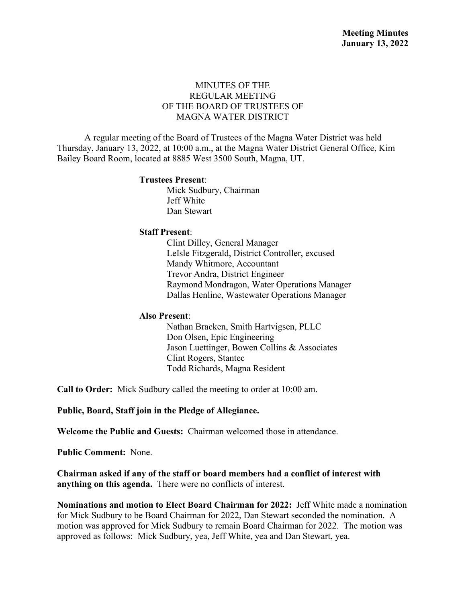## MINUTES OF THE REGULAR MEETING OF THE BOARD OF TRUSTEES OF MAGNA WATER DISTRICT

A regular meeting of the Board of Trustees of the Magna Water District was held Thursday, January 13, 2022, at 10:00 a.m., at the Magna Water District General Office, Kim Bailey Board Room, located at 8885 West 3500 South, Magna, UT.

#### **Trustees Present**:

Mick Sudbury, Chairman Jeff White Dan Stewart

### **Staff Present**:

Clint Dilley, General Manager LeIsle Fitzgerald, District Controller, excused Mandy Whitmore, Accountant Trevor Andra, District Engineer Raymond Mondragon, Water Operations Manager Dallas Henline, Wastewater Operations Manager

### **Also Present**:

Nathan Bracken, Smith Hartvigsen, PLLC Don Olsen, Epic Engineering Jason Luettinger, Bowen Collins & Associates Clint Rogers, Stantec Todd Richards, Magna Resident

**Call to Order:** Mick Sudbury called the meeting to order at 10:00 am.

**Public, Board, Staff join in the Pledge of Allegiance.**

**Welcome the Public and Guests:** Chairman welcomed those in attendance.

**Public Comment:** None.

**Chairman asked if any of the staff or board members had a conflict of interest with anything on this agenda.** There were no conflicts of interest.

**Nominations and motion to Elect Board Chairman for 2022:** Jeff White made a nomination for Mick Sudbury to be Board Chairman for 2022, Dan Stewart seconded the nomination. A motion was approved for Mick Sudbury to remain Board Chairman for 2022. The motion was approved as follows: Mick Sudbury, yea, Jeff White, yea and Dan Stewart, yea.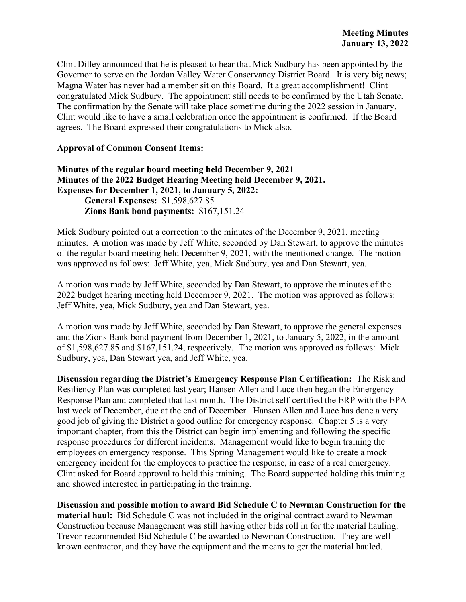Clint Dilley announced that he is pleased to hear that Mick Sudbury has been appointed by the Governor to serve on the Jordan Valley Water Conservancy District Board. It is very big news; Magna Water has never had a member sit on this Board. It a great accomplishment! Clint congratulated Mick Sudbury. The appointment still needs to be confirmed by the Utah Senate. The confirmation by the Senate will take place sometime during the 2022 session in January. Clint would like to have a small celebration once the appointment is confirmed. If the Board agrees. The Board expressed their congratulations to Mick also.

### **Approval of Common Consent Items:**

**Minutes of the regular board meeting held December 9, 2021 Minutes of the 2022 Budget Hearing Meeting held December 9, 2021. Expenses for December 1, 2021, to January 5, 2022: General Expenses:** \$1,598,627.85 **Zions Bank bond payments:** \$167,151.24

Mick Sudbury pointed out a correction to the minutes of the December 9, 2021, meeting minutes. A motion was made by Jeff White, seconded by Dan Stewart, to approve the minutes of the regular board meeting held December 9, 2021, with the mentioned change. The motion was approved as follows: Jeff White, yea, Mick Sudbury, yea and Dan Stewart, yea.

A motion was made by Jeff White, seconded by Dan Stewart, to approve the minutes of the 2022 budget hearing meeting held December 9, 2021. The motion was approved as follows: Jeff White, yea, Mick Sudbury, yea and Dan Stewart, yea.

A motion was made by Jeff White, seconded by Dan Stewart, to approve the general expenses and the Zions Bank bond payment from December 1, 2021, to January 5, 2022, in the amount of \$1,598,627.85 and \$167,151.24, respectively. The motion was approved as follows: Mick Sudbury, yea, Dan Stewart yea, and Jeff White, yea.

**Discussion regarding the District's Emergency Response Plan Certification:** The Risk and Resiliency Plan was completed last year; Hansen Allen and Luce then began the Emergency Response Plan and completed that last month. The District self-certified the ERP with the EPA last week of December, due at the end of December. Hansen Allen and Luce has done a very good job of giving the District a good outline for emergency response. Chapter 5 is a very important chapter, from this the District can begin implementing and following the specific response procedures for different incidents. Management would like to begin training the employees on emergency response. This Spring Management would like to create a mock emergency incident for the employees to practice the response, in case of a real emergency. Clint asked for Board approval to hold this training. The Board supported holding this training and showed interested in participating in the training.

**Discussion and possible motion to award Bid Schedule C to Newman Construction for the material haul:** Bid Schedule C was not included in the original contract award to Newman Construction because Management was still having other bids roll in for the material hauling. Trevor recommended Bid Schedule C be awarded to Newman Construction. They are well known contractor, and they have the equipment and the means to get the material hauled.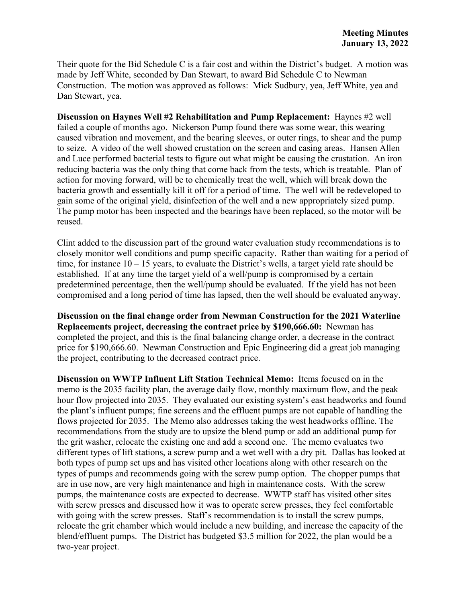Their quote for the Bid Schedule C is a fair cost and within the District's budget. A motion was made by Jeff White, seconded by Dan Stewart, to award Bid Schedule C to Newman Construction. The motion was approved as follows: Mick Sudbury, yea, Jeff White, yea and Dan Stewart, yea.

**Discussion on Haynes Well #2 Rehabilitation and Pump Replacement:** Haynes #2 well failed a couple of months ago. Nickerson Pump found there was some wear, this wearing caused vibration and movement, and the bearing sleeves, or outer rings, to shear and the pump to seize. A video of the well showed crustation on the screen and casing areas. Hansen Allen and Luce performed bacterial tests to figure out what might be causing the crustation. An iron reducing bacteria was the only thing that come back from the tests, which is treatable. Plan of action for moving forward, will be to chemically treat the well, which will break down the bacteria growth and essentially kill it off for a period of time. The well will be redeveloped to gain some of the original yield, disinfection of the well and a new appropriately sized pump. The pump motor has been inspected and the bearings have been replaced, so the motor will be reused.

Clint added to the discussion part of the ground water evaluation study recommendations is to closely monitor well conditions and pump specific capacity. Rather than waiting for a period of time, for instance 10 – 15 years, to evaluate the District's wells, a target yield rate should be established. If at any time the target yield of a well/pump is compromised by a certain predetermined percentage, then the well/pump should be evaluated. If the yield has not been compromised and a long period of time has lapsed, then the well should be evaluated anyway.

**Discussion on the final change order from Newman Construction for the 2021 Waterline Replacements project, decreasing the contract price by \$190,666.60:** Newman has completed the project, and this is the final balancing change order, a decrease in the contract price for \$190,666.60. Newman Construction and Epic Engineering did a great job managing the project, contributing to the decreased contract price.

**Discussion on WWTP Influent Lift Station Technical Memo:** Items focused on in the memo is the 2035 facility plan, the average daily flow, monthly maximum flow, and the peak hour flow projected into 2035. They evaluated our existing system's east headworks and found the plant's influent pumps; fine screens and the effluent pumps are not capable of handling the flows projected for 2035. The Memo also addresses taking the west headworks offline. The recommendations from the study are to upsize the blend pump or add an additional pump for the grit washer, relocate the existing one and add a second one. The memo evaluates two different types of lift stations, a screw pump and a wet well with a dry pit. Dallas has looked at both types of pump set ups and has visited other locations along with other research on the types of pumps and recommends going with the screw pump option. The chopper pumps that are in use now, are very high maintenance and high in maintenance costs. With the screw pumps, the maintenance costs are expected to decrease. WWTP staff has visited other sites with screw presses and discussed how it was to operate screw presses, they feel comfortable with going with the screw presses. Staff's recommendation is to install the screw pumps, relocate the grit chamber which would include a new building, and increase the capacity of the blend/effluent pumps. The District has budgeted \$3.5 million for 2022, the plan would be a two-year project.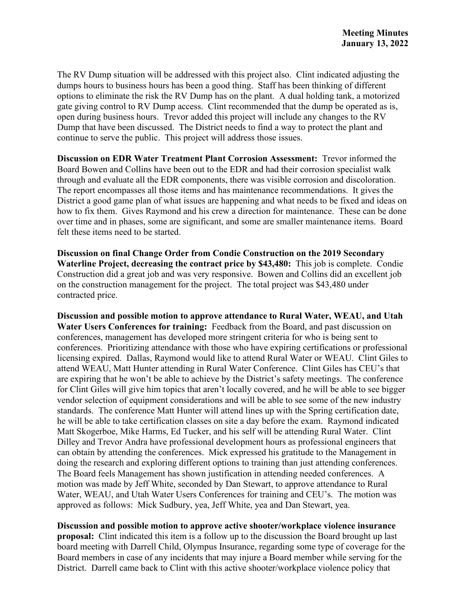The RV Dump situation will be addressed with this project also. Clint indicated adjusting the dumps hours to business hours has been a good thing. Staff has been thinking of different options to eliminate the risk the RV Dump has on the plant. A dual holding tank, a motorized gate giving control to RV Dump access. Clint recommended that the dump be operated as is, open during business hours. Trevor added this project will include any changes to the RV Dump that have been discussed. The District needs to find a way to protect the plant and continue to serve the public. This project will address those issues.

**Discussion on EDR Water Treatment Plant Corrosion Assessment:** Trevor informed the Board Bowen and Collins have been out to the EDR and had their corrosion specialist walk through and evaluate all the EDR components, there was visible corrosion and discoloration. The report encompasses all those items and has maintenance recommendations. It gives the District a good game plan of what issues are happening and what needs to be fixed and ideas on how to fix them. Gives Raymond and his crew a direction for maintenance. These can be done over time and in phases, some are significant, and some are smaller maintenance items. Board felt these items need to be started.

**Discussion on final Change Order from Condie Construction on the 2019 Secondary Waterline Project, decreasing the contract price by \$43,480:** This job is complete. Condie Construction did a great job and was very responsive. Bowen and Collins did an excellent job on the construction management for the project. The total project was \$43,480 under contracted price.

**Discussion and possible motion to approve attendance to Rural Water, WEAU, and Utah Water Users Conferences for training:** Feedback from the Board, and past discussion on conferences, management has developed more stringent criteria for who is being sent to conferences. Prioritizing attendance with those who have expiring certifications or professional licensing expired. Dallas, Raymond would like to attend Rural Water or WEAU. Clint Giles to attend WEAU, Matt Hunter attending in Rural Water Conference. Clint Giles has CEU's that are expiring that he won't be able to achieve by the District's safety meetings. The conference for Clint Giles will give him topics that aren't locally covered, and he will be able to see bigger vendor selection of equipment considerations and will be able to see some of the new industry standards. The conference Matt Hunter will attend lines up with the Spring certification date, he will be able to take certification classes on site a day before the exam. Raymond indicated Matt Skogerboe, Mike Harms, Ed Tucker, and his self will be attending Rural Water. Clint Dilley and Trevor Andra have professional development hours as professional engineers that can obtain by attending the conferences. Mick expressed his gratitude to the Management in doing the research and exploring different options to training than just attending conferences. The Board feels Management has shown justification in attending needed conferences. A motion was made by Jeff White, seconded by Dan Stewart, to approve attendance to Rural Water, WEAU, and Utah Water Users Conferences for training and CEU's. The motion was approved as follows: Mick Sudbury, yea, Jeff White, yea and Dan Stewart, yea.

**Discussion and possible motion to approve active shooter/workplace violence insurance proposal:** Clint indicated this item is a follow up to the discussion the Board brought up last board meeting with Darrell Child, Olympus Insurance, regarding some type of coverage for the Board members in case of any incidents that may injure a Board member while serving for the District. Darrell came back to Clint with this active shooter/workplace violence policy that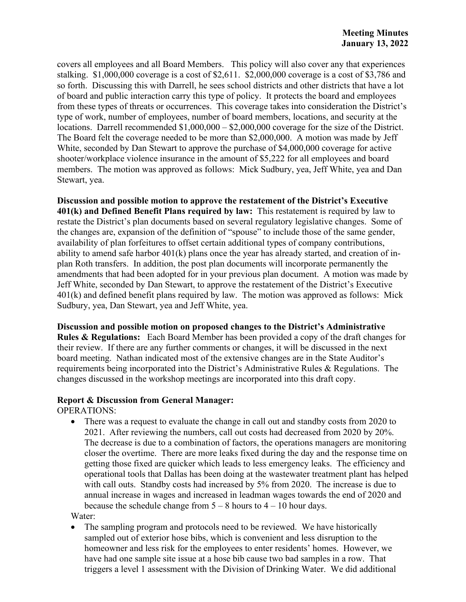covers all employees and all Board Members. This policy will also cover any that experiences stalking. \$1,000,000 coverage is a cost of \$2,611. \$2,000,000 coverage is a cost of \$3,786 and so forth. Discussing this with Darrell, he sees school districts and other districts that have a lot of board and public interaction carry this type of policy. It protects the board and employees from these types of threats or occurrences. This coverage takes into consideration the District's type of work, number of employees, number of board members, locations, and security at the locations. Darrell recommended \$1,000,000 – \$2,000,000 coverage for the size of the District. The Board felt the coverage needed to be more than \$2,000,000. A motion was made by Jeff White, seconded by Dan Stewart to approve the purchase of \$4,000,000 coverage for active shooter/workplace violence insurance in the amount of \$5,222 for all employees and board members. The motion was approved as follows: Mick Sudbury, yea, Jeff White, yea and Dan Stewart, yea.

**Discussion and possible motion to approve the restatement of the District's Executive 401(k) and Defined Benefit Plans required by law:** This restatement is required by law to restate the District's plan documents based on several regulatory legislative changes. Some of the changes are, expansion of the definition of "spouse" to include those of the same gender, availability of plan forfeitures to offset certain additional types of company contributions, ability to amend safe harbor 401(k) plans once the year has already started, and creation of inplan Roth transfers. In addition, the post plan documents will incorporate permanently the amendments that had been adopted for in your previous plan document. A motion was made by Jeff White, seconded by Dan Stewart, to approve the restatement of the District's Executive 401(k) and defined benefit plans required by law. The motion was approved as follows: Mick Sudbury, yea, Dan Stewart, yea and Jeff White, yea.

**Discussion and possible motion on proposed changes to the District's Administrative Rules & Regulations:** Each Board Member has been provided a copy of the draft changes for their review. If there are any further comments or changes, it will be discussed in the next board meeting. Nathan indicated most of the extensive changes are in the State Auditor's requirements being incorporated into the District's Administrative Rules & Regulations. The changes discussed in the workshop meetings are incorporated into this draft copy.

# **Report & Discussion from General Manager:**

OPERATIONS:

• There was a request to evaluate the change in call out and standby costs from 2020 to 2021. After reviewing the numbers, call out costs had decreased from 2020 by 20%. The decrease is due to a combination of factors, the operations managers are monitoring closer the overtime. There are more leaks fixed during the day and the response time on getting those fixed are quicker which leads to less emergency leaks. The efficiency and operational tools that Dallas has been doing at the wastewater treatment plant has helped with call outs. Standby costs had increased by 5% from 2020. The increase is due to annual increase in wages and increased in leadman wages towards the end of 2020 and because the schedule change from  $5 - 8$  hours to  $4 - 10$  hour days.

Water:

The sampling program and protocols need to be reviewed. We have historically sampled out of exterior hose bibs, which is convenient and less disruption to the homeowner and less risk for the employees to enter residents' homes. However, we have had one sample site issue at a hose bib cause two bad samples in a row. That triggers a level 1 assessment with the Division of Drinking Water. We did additional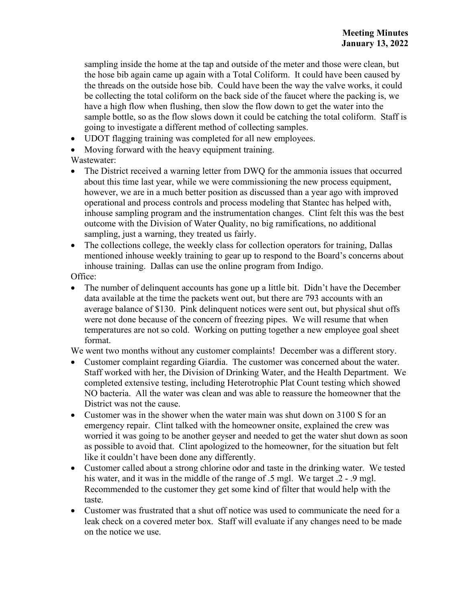sampling inside the home at the tap and outside of the meter and those were clean, but the hose bib again came up again with a Total Coliform. It could have been caused by the threads on the outside hose bib. Could have been the way the valve works, it could be collecting the total coliform on the back side of the faucet where the packing is, we have a high flow when flushing, then slow the flow down to get the water into the sample bottle, so as the flow slows down it could be catching the total coliform. Staff is going to investigate a different method of collecting samples.

- UDOT flagging training was completed for all new employees.
- Moving forward with the heavy equipment training.

# Wastewater:

- The District received a warning letter from DWQ for the ammonia issues that occurred about this time last year, while we were commissioning the new process equipment, however, we are in a much better position as discussed than a year ago with improved operational and process controls and process modeling that Stantec has helped with, inhouse sampling program and the instrumentation changes. Clint felt this was the best outcome with the Division of Water Quality, no big ramifications, no additional sampling, just a warning, they treated us fairly.
- The collections college, the weekly class for collection operators for training, Dallas mentioned inhouse weekly training to gear up to respond to the Board's concerns about inhouse training. Dallas can use the online program from Indigo.

# Office:

• The number of delinquent accounts has gone up a little bit. Didn't have the December data available at the time the packets went out, but there are 793 accounts with an average balance of \$130. Pink delinquent notices were sent out, but physical shut offs were not done because of the concern of freezing pipes. We will resume that when temperatures are not so cold. Working on putting together a new employee goal sheet format.

We went two months without any customer complaints! December was a different story.

- Customer complaint regarding Giardia. The customer was concerned about the water. Staff worked with her, the Division of Drinking Water, and the Health Department. We completed extensive testing, including Heterotrophic Plat Count testing which showed NO bacteria. All the water was clean and was able to reassure the homeowner that the District was not the cause.
- Customer was in the shower when the water main was shut down on 3100 S for an emergency repair. Clint talked with the homeowner onsite, explained the crew was worried it was going to be another geyser and needed to get the water shut down as soon as possible to avoid that. Clint apologized to the homeowner, for the situation but felt like it couldn't have been done any differently.
- Customer called about a strong chlorine odor and taste in the drinking water. We tested his water, and it was in the middle of the range of .5 mgl. We target .2 - .9 mgl. Recommended to the customer they get some kind of filter that would help with the taste.
- Customer was frustrated that a shut off notice was used to communicate the need for a leak check on a covered meter box. Staff will evaluate if any changes need to be made on the notice we use.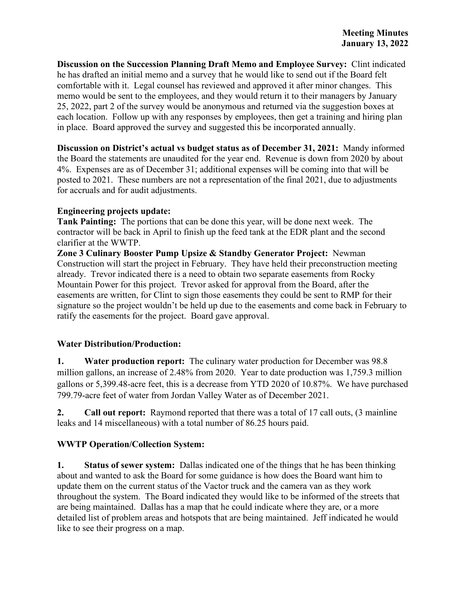**Discussion on the Succession Planning Draft Memo and Employee Survey:** Clint indicated he has drafted an initial memo and a survey that he would like to send out if the Board felt comfortable with it. Legal counsel has reviewed and approved it after minor changes. This memo would be sent to the employees, and they would return it to their managers by January 25, 2022, part 2 of the survey would be anonymous and returned via the suggestion boxes at each location. Follow up with any responses by employees, then get a training and hiring plan in place. Board approved the survey and suggested this be incorporated annually.

**Discussion on District's actual vs budget status as of December 31, 2021:** Mandy informed the Board the statements are unaudited for the year end. Revenue is down from 2020 by about 4%. Expenses are as of December 31; additional expenses will be coming into that will be posted to 2021. These numbers are not a representation of the final 2021, due to adjustments for accruals and for audit adjustments.

# **Engineering projects update:**

**Tank Painting:** The portions that can be done this year, will be done next week. The contractor will be back in April to finish up the feed tank at the EDR plant and the second clarifier at the WWTP.

**Zone 3 Culinary Booster Pump Upsize & Standby Generator Project:** Newman Construction will start the project in February. They have held their preconstruction meeting already. Trevor indicated there is a need to obtain two separate easements from Rocky Mountain Power for this project. Trevor asked for approval from the Board, after the easements are written, for Clint to sign those easements they could be sent to RMP for their signature so the project wouldn't be held up due to the easements and come back in February to ratify the easements for the project. Board gave approval.

# **Water Distribution/Production:**

**1. Water production report:** The culinary water production for December was 98.8 million gallons, an increase of 2.48% from 2020. Year to date production was 1,759.3 million gallons or 5,399.48-acre feet, this is a decrease from YTD 2020 of 10.87%. We have purchased 799.79-acre feet of water from Jordan Valley Water as of December 2021.

**2. Call out report:** Raymond reported that there was a total of 17 call outs, (3 mainline leaks and 14 miscellaneous) with a total number of 86.25 hours paid.

# **WWTP Operation/Collection System:**

**1. Status of sewer system:** Dallas indicated one of the things that he has been thinking about and wanted to ask the Board for some guidance is how does the Board want him to update them on the current status of the Vactor truck and the camera van as they work throughout the system. The Board indicated they would like to be informed of the streets that are being maintained. Dallas has a map that he could indicate where they are, or a more detailed list of problem areas and hotspots that are being maintained. Jeff indicated he would like to see their progress on a map.